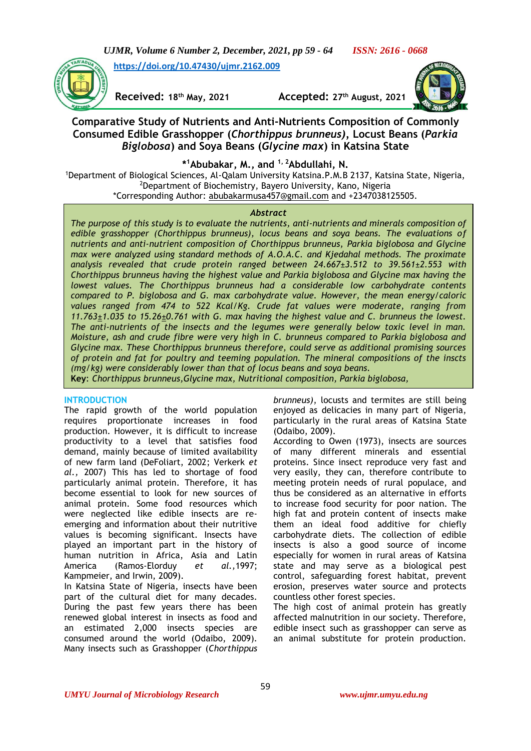*UJMR, Volume 6 Number 2, December, 2021, pp 59 - 64 ISSN: 2616 - 0668*

**[https://doi.org/10.47430/ujmr.2162.009](https://doi.org/10.47430/ujmr.2162.001)**

**Received: 18th May, 2021 Accepted: 27th August, 2021**



# **Comparative Study of Nutrients and Anti-Nutrients Composition of Commonly Consumed Edible Grasshopper (***Chorthippus brunneus),* **Locust Beans (***Parkia Biglobosa***) and Soya Beans (***Glycine max***) in Katsina State**

**\* <sup>1</sup>Abubakar, M., and 1, 2Abdullahi, N.** 

<sup>1</sup>Department of Biological Sciences, Al-Qalam University Katsina.P.M.B 2137, Katsina State, Nigeria, <sup>2</sup>Department of Biochemistry, Bayero University, Kano, Nigeria \*Corresponding Author: [abubakarmusa457@gmail.com](mailto:abubakarmusa457@gmail.com) and +2347038125505.

# *Abstract*

*The purpose of this study is to evaluate the nutrients, anti-nutrients and minerals composition of edible grasshopper (Chorthippus brunneus), locus beans and soya beans. The evaluations of nutrients and anti-nutrient composition of Chorthippus brunneus, Parkia biglobosa and Glycine max were analyzed using standard methods of A.O.A.C. and Kjedahal methods. The proximate analysis revealed that crude protein ranged between 24.667±3.512 to 39.561±2.553 with Chorthippus brunneus having the highest value and Parkia biglobosa and Glycine max having the lowest values. The Chorthippus brunneus had a considerable low carbohydrate contents compared to P. biglobosa and G. max carbohydrate value. However, the mean energy/caloric values ranged from 474 to 522 Kcal/Kg. Crude fat values were moderate, ranging from 11.763±1.035 to 15.26±0.761 with G. max having the highest value and C. brunneus the lowest. The anti-nutrients of the insects and the legumes were generally below toxic level in man. Moisture, ash and crude fibre were very high in C. brunneus compared to Parkia biglobosa and Glycine max. These Chorthippus brunneus therefore, could serve as additional promising sources of protein and fat for poultry and teeming population. The mineral compositions of the inscts (mg/kg) were considerably lower than that of locus beans and soya beans.* **Key**: *Chorthippus brunneus,Glycine max, Nutritional composition, Parkia biglobosa,* 

# **INTRODUCTION**

The rapid growth of the world population requires proportionate increases in food production. However, it is difficult to increase productivity to a level that satisfies food demand, mainly because of limited availability of new farm land (DeFoliart, 2002; Verkerk *et al.,* 2007) This has led to shortage of food particularly animal protein. Therefore, it has become essential to look for new sources of animal protein. Some food resources which were neglected like edible insects are reemerging and information about their nutritive values is becoming significant. Insects have played an important part in the history of human nutrition in Africa, Asia and Latin America (Ramos-Elorduy *et al.,*1997; Kampmeier, and Irwin, 2009).

In Katsina State of Nigeria, insects have been part of the cultural diet for many decades. During the past few years there has been renewed global interest in insects as food and an estimated 2,000 insects species are consumed around the world (Odaibo, 2009). Many insects such as Grasshopper (*Chorthippus*

*brunneus)*, locusts and termites are still being enjoyed as delicacies in many part of Nigeria, particularly in the rural areas of Katsina State (Odaibo, 2009).

According to Owen (1973), insects are sources of many different minerals and essential proteins. Since insect reproduce very fast and very easily, they can, therefore contribute to meeting protein needs of rural populace, and thus be considered as an alternative in efforts to increase food security for poor nation. The high fat and protein content of insects make them an ideal food additive for chiefly carbohydrate diets. The collection of edible insects is also a good source of income especially for women in rural areas of Katsina state and may serve as a biological pest control, safeguarding forest habitat, prevent erosion, preserves water source and protects countless other forest species.

The high cost of animal protein has greatly affected malnutrition in our society. Therefore, edible insect such as grasshopper can serve as an animal substitute for protein production.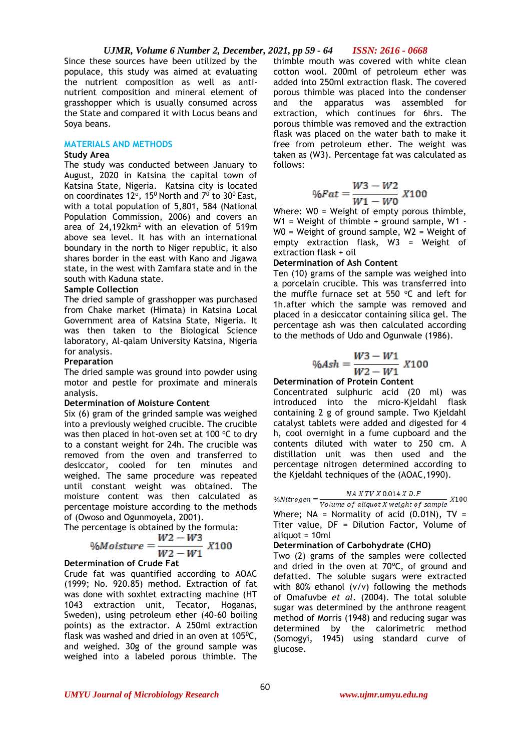#### *UJMR, Volume 6 Number 2, December, 2021, pp 59 - 64 ISSN: 2616 - 0668*

Since these sources have been utilized by the populace, this study was aimed at evaluating the nutrient composition as well as antinutrient composition and mineral element of grasshopper which is usually consumed across the State and compared it with Locus beans and Soya beans.

### **MATERIALS AND METHODS**

#### **Study Area**

The study was conducted between January to August, 2020 in Katsina the capital town of Katsina State, Nigeria. Katsina city is located on coordinates 12°, 15<sup>0</sup> North and  $7^0$  to 30<sup>0</sup> East, with a total population of 5,801, 584 (National Population Commission, 2006) and covers an area of  $24,192km^2$  with an elevation of 519m above sea level. It has with an international boundary in the north to Niger republic, it also shares border in the east with Kano and Jigawa state, in the west with Zamfara state and in the south with Kaduna state.

# **Sample Collection**

The dried sample of grasshopper was purchased from Chake market (Himata) in Katsina Local Government area of Katsina State, Nigeria. It was then taken to the Biological Science laboratory, Al-qalam University Katsina, Nigeria for analysis.

#### **Preparation**

The dried sample was ground into powder using motor and pestle for proximate and minerals analysis.

#### **Determination of Moisture Content**

Six (6) gram of the grinded sample was weighed into a previously weighed crucible. The crucible was then placed in hot-oven set at 100  $\degree$ C to dry to a constant weight for 24h. The crucible was removed from the oven and transferred to desiccator, cooled for ten minutes and weighed. The same procedure was repeated until constant weight was obtained. The moisture content was then calculated as percentage moisture according to the methods of (Owoso and Ogunmoyela, 2001).

The percentage is obtained by the formula:

$$
\%Moisture = \frac{W2 - W3}{W2 - W1} X100
$$

#### **Determination of Crude Fat**

Crude fat was quantified according to AOAC (1999; No. 920.85) method. Extraction of fat was done with soxhlet extracting machine (HT 1043 extraction unit, Tecator, Hoganas, Sweden), using petroleum ether (40-60 boiling points) as the extractor. A 250ml extraction flask was washed and dried in an oven at  $105\text{°C}$ , and weighed. 30g of the ground sample was weighed into a labeled porous thimble. The

thimble mouth was covered with white clean cotton wool. 200ml of petroleum ether was added into 250ml extraction flask. The covered porous thimble was placed into the condenser and the apparatus was assembled for extraction, which continues for 6hrs. The porous thimble was removed and the extraction flask was placed on the water bath to make it free from petroleum ether. The weight was taken as (W3). Percentage fat was calculated as follows:

$$
\% Fat = \frac{W3 - W2}{W1 - W0} \; X100
$$

Where: W0 = Weight of empty porous thimble, W1 = Weight of thimble + ground sample, W1 -W0 = Weight of ground sample, W2 = Weight of empty extraction flask, W3 = Weight of extraction flask + oil

#### **Determination of Ash Content**

Ten (10) grams of the sample was weighed into a porcelain crucible. This was transferred into the muffle furnace set at 550  $°C$  and left for 1h.after which the sample was removed and placed in a desiccator containing silica gel. The percentage ash was then calculated according to the methods of Udo and Ogunwale (1986).

$$
\%Ash = \frac{W3 - W1}{W2 - W1} X100
$$

# **Determination of Protein Content**

Concentrated sulphuric acid (20 ml) was introduced into the micro-Kjeldahl flask containing 2 g of ground sample. Two Kjeldahl catalyst tablets were added and digested for 4 h, cool overnight in a fume cupboard and the contents diluted with water to 250 cm. A distillation unit was then used and the percentage nitrogen determined according to the Kjeldahl techniques of the (AOAC,1990).

$$
NA\;X\;TV\;X\;0.014\;X\;D.F
$$

 $\%Nitrogen = \frac{NIR117R0.0111R0.11}{Volume of aliquot X weight of sample}$  X100 Where;  $NA = Normality$  of acid (0.01N),  $TV =$ Titer value, DF = Dilution Factor, Volume of aliquot = 10ml

#### **Determination of Carbohydrate (CHO)**

Two (2) grams of the samples were collected and dried in the oven at  $70^{\circ}$ C, of ground and defatted. The soluble sugars were extracted with 80% ethanol (v/v) following the methods of Omafuvbe *et al*. (2004). The total soluble sugar was determined by the anthrone reagent method of Morris (1948) and reducing sugar was determined by the calorimetric method (Somogyi, 1945) using standard curve of glucose.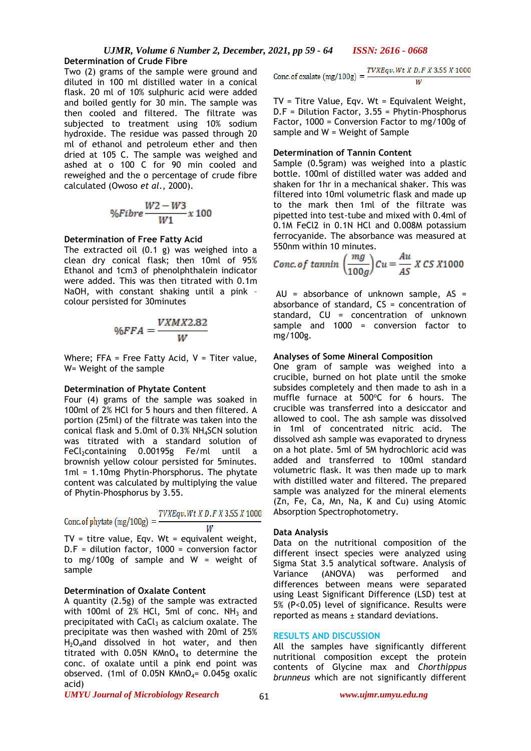Two (2) grams of the sample were ground and diluted in 100 ml distilled water in a conical flask. 20 ml of 10% sulphuric acid were added and boiled gently for 30 min. The sample was then cooled and filtered. The filtrate was subjected to treatment using 10% sodium hydroxide. The residue was passed through 20 ml of ethanol and petroleum ether and then dried at 105 C. The sample was weighed and ashed at o 100 C for 90 min cooled and reweighed and the o percentage of crude fibre calculated (Owoso *et al*., 2000).

$$
\%Fibre\frac{W2-W3}{W1}x100
$$

### **Determination of Free Fatty Acid**

The extracted oil (0.1 g) was weighed into a clean dry conical flask; then 10ml of 95% Ethanol and 1cm3 of phenolphthalein indicator were added. This was then titrated with 0.1m NaOH, with constant shaking until a pink – colour persisted for 30minutes

$$
\%FFA = \frac{VXMX2.82}{W}
$$

Where: FFA = Free Fatty Acid,  $V =$  Titer value, W= Weight of the sample

#### **Determination of Phytate Content**

Four (4) grams of the sample was soaked in 100ml of 2% HCl for 5 hours and then filtered. A portion (25ml) of the filtrate was taken into the conical flask and 5.0ml of 0.3% NH4SCN solution was titrated with a standard solution of  $FeCl<sub>2</sub>containing$  0.00195g  $Fe/ml$  until a brownish yellow colour persisted for 5minutes. 1ml = 1.10mg Phytin-Phorsphorus. The phytate content was calculated by multiplying the value of Phytin-Phosphorus by 3.55.

TVXEqv.Wt X D.F X 3.55 X 1000 Conc. of phytate  $(mg/100g)$  = W

TV = titre value, Eqv. Wt = equivalent weight, D.F = dilution factor, 1000 = conversion factor to mg/100g of sample and W = weight of sample

# **Determination of Oxalate Content**

A quantity (2.5g) of the sample was extracted with 100ml of  $2\%$  HCl, 5ml of conc. NH<sub>3</sub> and precipitated with  $CaCl<sub>3</sub>$  as calcium oxalate. The precipitate was then washed with 20ml of 25%  $H_2O_4$ and dissolved in hot water, and then titrated with  $0.05N$  KMnO<sub>4</sub> to determine the conc. of oxalate until a pink end point was observed. (1ml of 0.05N KMnO<sub>4</sub>=  $0.045g$  oxalic acid)

Conc. of oxalate (mg/100g) = 
$$
\frac{TVXEqv.Wt X D.F X 3.55 X 1000}{W}
$$

TV = Titre Value, Eqv. Wt = Equivalent Weight, D.F = Dilution Factor, 3.55 = Phytin-Phosphorus Factor, 1000 = Conversion Factor to mg/100g of sample and W = Weight of Sample

# **Determination of Tannin Content**

Sample (0.5gram) was weighed into a plastic bottle. 100ml of distilled water was added and shaken for 1hr in a mechanical shaker. This was filtered into 10ml volumetric flask and made up to the mark then 1ml of the filtrate was pipetted into test-tube and mixed with 0.4ml of 0.1M FeCl2 in 0.1N HCl and 0.008M potassium ferrocyanide. The absorbance was measured at 550nm within 10 minutes.

Conc. of 
$$
\tanh\left(\frac{mg}{100g}\right)Cu = \frac{Au}{AS} \times CS \times 1000
$$

AU = absorbance of unknown sample, AS = absorbance of standard, CS = concentration of standard, CU = concentration of unknown sample and 1000 = conversion factor to mg/100g.

# **Analyses of Some Mineral Composition**

One gram of sample was weighed into a crucible, burned on hot plate until the smoke subsides completely and then made to ash in a muffle furnace at  $500^{\circ}$ C for 6 hours. The crucible was transferred into a desiccator and allowed to cool. The ash sample was dissolved in 1ml of concentrated nitric acid. The dissolved ash sample was evaporated to dryness on a hot plate. 5ml of 5M hydrochloric acid was added and transferred to 100ml standard volumetric flask. It was then made up to mark with distilled water and filtered. The prepared sample was analyzed for the mineral elements (Zn, Fe, Ca, Mn, Na, K and Cu) using Atomic Absorption Spectrophotometry.

#### **Data Analysis**

Data on the nutritional composition of the different insect species were analyzed using Sigma Stat 3.5 analytical software. Analysis of Variance (ANOVA) was performed and differences between means were separated using Least Significant Difference (LSD) test at 5% (P<0.05) level of significance. Results were reported as means ± standard deviations.

### **RESULTS AND DISCUSSION**

All the samples have significantly different nutritional composition except the protein contents of Glycine max and *Chorthippus brunneus* which are not significantly different

#### *UMYU Journal of Microbiology Research www.ujmr.umyu.edu.ng*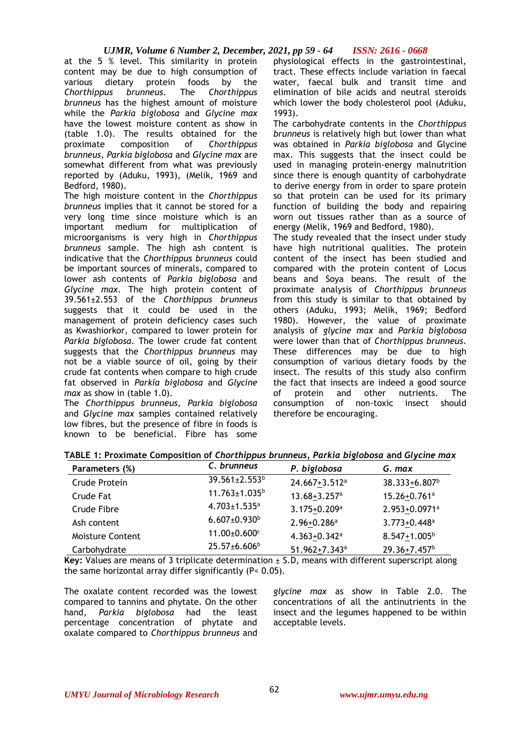# *UJMR, Volume 6 Number 2, December, 2021, pp 59 - 64 ISSN: 2616 - 0668*

at the 5 % level. This similarity in protein content may be due to high consumption of various dietary protein foods by the *Chorthippus brunneus*. The *Chorthippus brunneus* has the highest amount of moisture while the *Parkia biglobosa* and *Glycine max* have the lowest moisture content as show in (table 1.0). The results obtained for the proximate composition of *Chorthippus brunneus, Parkia biglobosa* and *Glycine max* are somewhat different from what was previously reported by (Aduku, 1993), (Melik, 1969 and Bedford, 1980).

The high moisture content in the *Chorthippus brunneus* implies that it cannot be stored for a very long time since moisture which is an important medium for multiplication of microorganisms is very high in *Chorthippus brunneus* sample. The high ash content is indicative that the *Chorthippus brunneus* could be important sources of minerals, compared to lower ash contents of *Parkia biglobosa* and *Glycine max*. The high protein content of 39.561±2.553 of the *Chorthippus brunneus* suggests that it could be used in the management of protein deficiency cases such as Kwashiorkor, compared to lower protein for *Parkia biglobosa*. The lower crude fat content suggests that the *Chorthippus brunneus* may not be a viable source of oil, going by their crude fat contents when compare to high crude fat observed in *Parkia biglobosa* and *Glycine max* as show in (table 1.0).

The *Chorthippus brunneus, Parkia biglobosa*  and *Glycine max* samples contained relatively low fibres, but the presence of fibre in foods is known to be beneficial. Fibre has some physiological effects in the gastrointestinal, tract. These effects include variation in faecal water, faecal bulk and transit time and elimination of bile acids and neutral steroids which lower the body cholesterol pool (Aduku, 1993).

The carbohydrate contents in the *Chorthippus brunneus* is relatively high but lower than what was obtained in *Parkia biglobosa* and Glycine max. This suggests that the insect could be used in managing protein-energy malnutrition since there is enough quantity of carbohydrate to derive energy from in order to spare protein so that protein can be used for its primary function of building the body and repairing worn out tissues rather than as a source of energy (Melik, 1969 and Bedford, 1980).

The study revealed that the insect under study have high nutritional qualities. The protein content of the insect has been studied and compared with the protein content of Locus beans and Soya beans. The result of the proximate analysis of *Chorthippus brunneus* from this study is similar to that obtained by others (Aduku, 1993; Melik, 1969; Bedford 1980). However, the value of proximate analysis of *glycine max* and *Parkia biglobosa* were lower than that of *Chorthippus brunneus*. These differences may be due to high consumption of various dietary foods by the insect. The results of this study also confirm the fact that insects are indeed a good source of protein and other nutrients. The consumption of non-toxic insect should therefore be encouraging.

|  | TABLE 1: Proximate Composition of Chor <i>thippus brunneus, Parkia biglobosa</i> and Glycine max |
|--|--------------------------------------------------------------------------------------------------|
|--|--------------------------------------------------------------------------------------------------|

| Parameters (%)   | C. brunneus                    | P. biglobosa                 | G. max                       |
|------------------|--------------------------------|------------------------------|------------------------------|
| Crude Protein    | 39.561±2.553 <sup>b</sup>      | 24.667+3.512 <sup>a</sup>    | 38.333+6.807 <sup>b</sup>    |
| Crude Fat        | $11.763 \pm 1.035^b$           | $13.68 + 3.257$ <sup>a</sup> | 15.26+0.761 <sup>a</sup>     |
| Crude Fibre      | $4.703 \pm 1.535$ <sup>a</sup> | 3.175+0.209 <sup>a</sup>     | 2.953+0.0971 <sup>a</sup>    |
| Ash content      | $6.607 \pm 0.930$ <sup>b</sup> | $2.96 + 0.286$ <sup>a</sup>  | $3.773 + 0.448$ <sup>a</sup> |
| Moisture Content | 11.00±0.600 <sup>c</sup>       | $4.363 + 0.342$ <sup>a</sup> | $8.547 + 1.005^b$            |
| Carbohydrate     | 25.57±6.606 <sup>b</sup>       | 51.962+7.343 <sup>a</sup>    | 29.36+7.457 <sup>b</sup>     |

Key: Values are means of 3 triplicate determination  $\pm$  S.D, means with different superscript along the same horizontal array differ significantly (P< 0.05).

The oxalate content recorded was the lowest compared to tannins and phytate. On the other hand, *Parkia biglobosa* had the least percentage concentration of phytate and oxalate compared to *Chorthippus brunneus* and

*glycine max* as show in Table 2.0. The concentrations of all the antinutrients in the insect and the legumes happened to be within acceptable levels.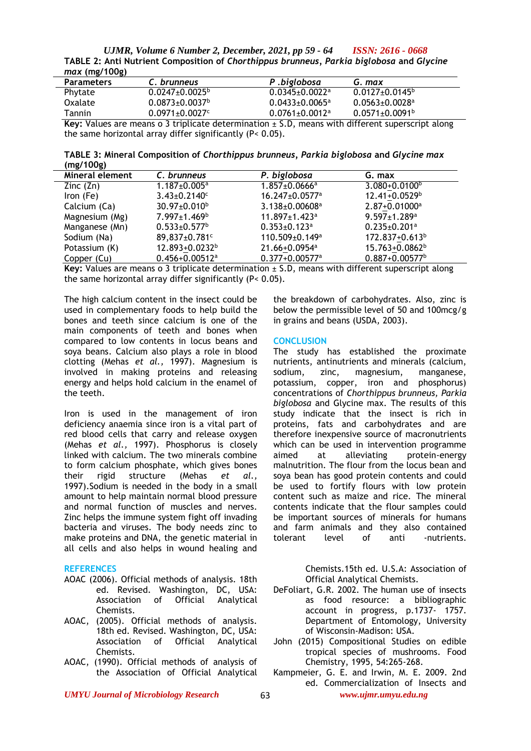*UJMR, Volume 6 Number 2, December, 2021, pp 59 - 64 ISSN: 2616 - 0668* **TABLE 2: Anti Nutrient Composition of** *Chorthippus brunneus, Parkia biglobosa* **and** *Glycine max* **(mg/100g)**

| $\cdots$          |                                  |                                  |                                  |  |
|-------------------|----------------------------------|----------------------------------|----------------------------------|--|
| <b>Parameters</b> | C. brunneus                      | P.biglobosa                      | G. max                           |  |
| Phytate           | $0.0247 \pm 0.0025^{\circ}$      | $0.0345 \pm 0.0022$ <sup>a</sup> | $0.0127 \pm 0.0145$ <sup>b</sup> |  |
| Oxalate           | $0.0873 \pm 0.0037$ <sup>b</sup> | $0.0433 + 0.0065$ <sup>a</sup>   | $0.0563 \pm 0.0028$ <sup>a</sup> |  |
| Tannin            | $0.0971 \pm 0.0027$ <sup>c</sup> | $0.0761 \pm 0.0012$ <sup>a</sup> | $0.0571 \pm 0.0091$ <sup>b</sup> |  |
| .                 |                                  |                                  | .                                |  |

**Key:** Values are means o 3 triplicate determination ± S.D, means with different superscript along the same horizontal array differ significantly (P< 0.05).

**TABLE 3: Mineral Composition of** *Chorthippus brunneus, Parkia biglobosa* **and** *Glycine max* **(mg/100g)**

| Mineral element | C. brunneus                    | P. biglobosa                     | G. max                         |  |
|-----------------|--------------------------------|----------------------------------|--------------------------------|--|
| Zinc $(2n)$     | $1.187 \pm 0.005^{\text{a}}$   | $1.857 \pm 0.0666$ <sup>a</sup>  | $3.080 + 0.0100$ <sup>b</sup>  |  |
| $lron$ (Fe)     | $3.43 \pm 0.2140$ <sup>c</sup> | 16.247±0.0577 <sup>a</sup>       | $12.41 + 0.0529$ <sup>b</sup>  |  |
| Calcium (Ca)    | 30.97±0.010 <sup>b</sup>       | $3.138 \pm 0.00608$ <sup>a</sup> | 2.87+0.01000 <sup>a</sup>      |  |
| Magnesium (Mg)  | 7.997±1.469 <sup>b</sup>       | $11.897 \pm 1.423$ <sup>a</sup>  | $9.597 \pm 1.289$ <sup>a</sup> |  |
| Manganese (Mn)  | $0.533 \pm 0.577$ <sup>b</sup> | $0.353 \pm 0.123$ <sup>a</sup>   | $0.235 \pm 0.201$ <sup>a</sup> |  |
| Sodium (Na)     | 89,837±0.781 <sup>c</sup>      | $110.509 \pm 0.149^a$            | 172.837+0.613 <sup>b</sup>     |  |
| Potassium (K)   | 12.893+0.0232 <sup>b</sup>     | 21.66+0.0954 <sup>a</sup>        | 15.763+0.0862 <sup>b</sup>     |  |
| Copper (Cu)     | $0.456 + 0.00512$ <sup>a</sup> | $0.377 + 0.00577$ <sup>a</sup>   | $0.887 + 0.00577$ <sup>b</sup> |  |
|                 |                                |                                  |                                |  |

**Key:** Values are means o 3 triplicate determination ± S.D, means with different superscript along the same horizontal array differ significantly (P< 0.05).

The high calcium content in the insect could be used in complementary foods to help build the bones and teeth since calcium is one of the main components of teeth and bones when compared to low contents in locus beans and soya beans. Calcium also plays a role in blood clotting (Mehas *et al.,* 1997). Magnesium is involved in making proteins and releasing energy and helps hold calcium in the enamel of the teeth.

Iron is used in the management of iron deficiency anaemia since iron is a vital part of red blood cells that carry and release oxygen (Mehas *et al.,* 1997). Phosphorus is closely linked with calcium. The two minerals combine to form calcium phosphate, which gives bones their rigid structure (Mehas *et al.,* 1997).Sodium is needed in the body in a small amount to help maintain normal blood pressure and normal function of muscles and nerves. Zinc helps the immune system fight off invading bacteria and viruses. The body needs zinc to make proteins and DNA, the genetic material in all cells and also helps in wound healing and

# **REFERENCES**

- AOAC (2006). Official methods of analysis. 18th ed. Revised. Washington, DC, USA: Association of Official Analytical Chemists.
- AOAC, (2005). Official methods of analysis. 18th ed. Revised. Washington, DC, USA: Association of Official Analytical Chemists.
- AOAC, (1990). Official methods of analysis of the Association of Official Analytical

the breakdown of carbohydrates. Also, zinc is below the permissible level of 50 and 100mcg/g in grains and beans (USDA*,* 2003).

# **CONCLUSION**

The study has established the proximate nutrients, antinutrients and minerals (calcium, sodium, zinc, magnesium, manganese, potassium, copper, iron and phosphorus) concentrations of *Chorthippus brunneus, Parkia biglobosa* and Glycine max. The results of this study indicate that the insect is rich in proteins, fats and carbohydrates and are therefore inexpensive source of macronutrients which can be used in intervention programme aimed at alleviating protein-energy malnutrition. The flour from the locus bean and soya bean has good protein contents and could be used to fortify flours with low protein content such as maize and rice. The mineral contents indicate that the flour samples could be important sources of minerals for humans and farm animals and they also contained tolerant level of anti -nutrients.

> Chemists.15th ed. U.S.A: Association of Official Analytical Chemists.

- DeFoliart, G.R. 2002. The human use of insects as food resource: a bibliographic account in progress, p.1737- 1757. Department of Entomology, University of Wisconsin-Madison: USA.
- John (2015) Compositional Studies on edible tropical species of mushrooms. Food Chemistry, 1995, 54:265-268.
- Kampmeier, G. E. and Irwin, M. E. 2009. 2nd ed. Commercialization of Insects and